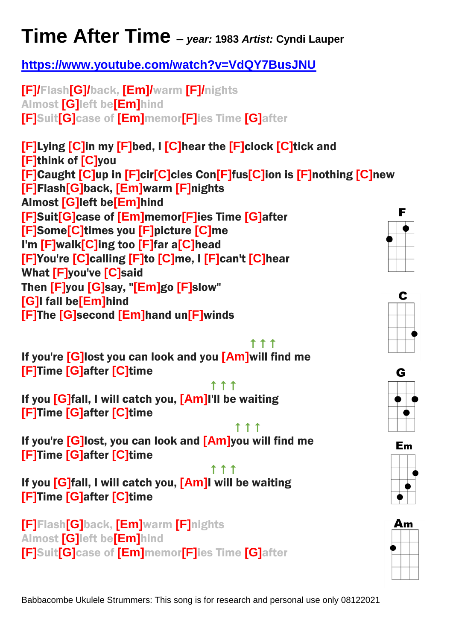## **Time After Time –** *year:* **<sup>1983</sup>** *Artist:* **Cyndi Lauper**

## **<https://www.youtube.com/watch?v=VdQY7BusJNU>**

**[F]/**Flash**[G]/**back, **[Em]/**warm **[F]/**nights Almost **[G]**left be**[Em]**hind **[F]**Suit**[G]**case of **[Em]**memor**[F]**ies Time **[G]**after

**[F]**Lying **[C]**in my **[F]**bed, I **[C]**hear the **[F]**clock **[C]**tick and **[F]**think of **[C]**you **[F]**Caught **[C]**up in **[F]**cir**[C]**cles Con**[F]**fus**[C]**ion is **[F]**nothing **[C]**new **[F]**Flash**[G]**back, **[Em]**warm **[F]**nights Almost **[G]**left be**[Em]**hind **[F]**Suit**[G]**case of **[Em]**memor**[F]**ies Time **[G]**after **[F]**Some**[C]**times you **[F]**picture **[C]**me I'm **[F]**walk**[C]**ing too **[F]**far a**[C]**head **[F]**You're **[C]**calling **[F]**to **[C]**me, I **[F]**can't **[C]**hear What **[F]**you've **[C]**said Then **[F]**you **[G]**say, "**[Em]**go **[F]**slow" **[G]**I fall be**[Em]**hind **[F]**The **[G]**second **[Em]**hand un**[F]**winds



**The Community of the Community of the Community of the Community of the Community of the Community of the Community of the Community of the Community of the Community of the Community of the Community of the Community of** If you're **[G]**lost you can look and you **[Am]**will find me **[F]**Time **[G]**after **[C]**time

<u>that is a series of the series of the series of the series of the series of the series of the series of the se</u> If you **[G]**fall, I will catch you, **[Am]**I'll be waiting **[F]**Time **[G]**after **[C]**time

<u>The contract of the contract of the contract of the contract of the contract of the contract of the contract of the contract of the contract of the contract of the contract of the contract of the contract of the contract </u> If you're **[G]**lost, you can look and **[Am]**you will find me **[F]**Time **[G]**after **[C]**time

The contract of the contract of the contract of the contract of the contract of the contract of the contract of the contract of the contract of the contract of the contract of the contract of the contract of the contract o If you **[G]**fall, I will catch you, **[Am]**I will be waiting **[F]**Time **[G]**after **[C]**time

**[F]**Flash**[G]**back, **[Em]**warm **[F]**nights Almost **[G]**left be**[Em]**hind **[F]**Suit**[G]**case of **[Em]**memor**[F]**ies Time **[G]**after F